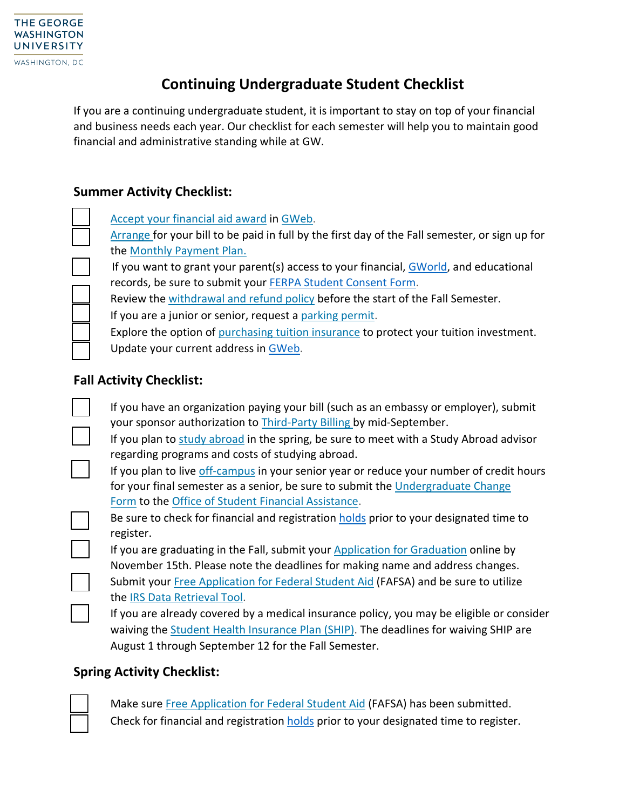## **Continuing Undergraduate Student Checklist**

If you are a continuing undergraduate student, it is important to stay on top of your financial and business needs each year. Our checklist for each semester will help you to maintain good financial and administrative standing while at GW.

## **Summer Activity Checklist:**

Accept your [financial](http://financialaid.gwu.edu/award-aid-year) aid award in [GWeb.](https://banweb.gwu.edu/)

[Arrange](http://studentaccounts.gwu.edu/how-pay) for your bill to be paid in full by the first day of the Fall semester, or sign up for the [Monthly Payment](http://studentaccounts.gwu.edu/monthly-payment-plan) Plan.

If you want to grant your parent(s) access to your financial[, GWorld,](https://gworld.gwu.edu/) and educational records, be sure to submit your [FERPA Student Consent Form.](https://esigngw.na2.documents.adobe.com/public/esignWidget?wid=CBFCIBAA3AAABLblqZhCL9S2asCQqpWDSthWTtNDGB7WerrBJqERw4J2yD3rKJ4rLmHUOsXL8VeL3_QDNj8A*)

Review the [withdrawal and refund policy](http://registrar.gwu.edu/withdrawals-refunds) before the start of the Fall Semester.

If you are a junior or senior, request a [parking permit.](https://gwu-tpsparking.t2hosted.com/Account/Portal)

Explore the option of [purchasing tuition insurance](http://studentaccounts.gwu.edu/tuition-insurance) to protect your tuition investment. Update your current address in [GWeb.](https://banweb.gwu.edu/)

## **Fall Activity Checklist:**

| If you have an organization paying your bill (such as an embassy or employer), submit<br>your sponsor authorization to Third-Party Billing by mid-September.                      |
|-----------------------------------------------------------------------------------------------------------------------------------------------------------------------------------|
| If you plan to study abroad in the spring, be sure to meet with a Study Abroad advisor<br>regarding programs and costs of studying abroad.                                        |
| If you plan to live off-campus in your senior year or reduce your number of credit hours                                                                                          |
| for your final semester as a senior, be sure to submit the Undergraduate Change<br>Form to the Office of Student Financial Assistance.                                            |
| Be sure to check for financial and registration holds prior to your designated time to<br>register.                                                                               |
| If you are graduating in the Fall, submit your Application for Graduation online by<br>November 15th. Please note the deadlines for making name and address changes.              |
| Submit your Free Application for Federal Student Aid (FAFSA) and be sure to utilize<br>the IRS Data Retrieval Tool.                                                               |
| If you are already covered by a medical insurance policy, you may be eligible or consider<br>waiving the Student Health Insurance Plan (SHIP). The deadlines for waiving SHIP are |
| August 1 through September 12 for the Fall Semester.                                                                                                                              |

## **Spring Activity Checklist:**



Make sure Free Application for [Federal Student Aid](https://studentaid.gov/h/apply-for-aid/fafsa) (FAFSA) has been submitted. Check for financial and registration [holds](https://registrar.gwu.edu/holds) prior to your designated time to register.